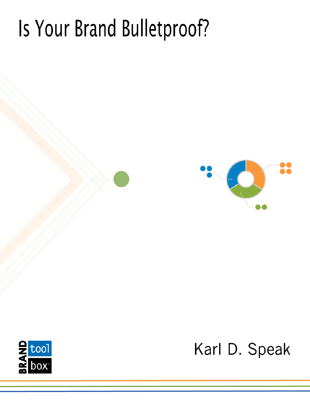# Is Your Brand Bulletproof?





Karl D. Speak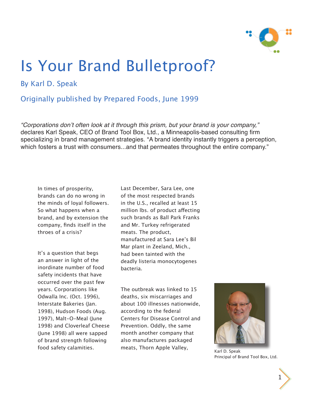

# Is Your Brand Bulletproof?

# By Karl D. Speak

## Originally published by Prepared Foods, June 1999

*"Corporations don't often look at it through this prism, but your brand is your company,"*  declares Karl Speak, CEO of Brand Tool Box, Ltd., a Minneapolis-based consulting firm specializing in brand management strategies. "A brand identity instantly triggers a perception, which fosters a trust with consumers...and that permeates throughout the entire company."

In times of prosperity, brands can do no wrong in the minds of loyal followers. So what happens when a brand, and by extension the company, finds itself in the throes of a crisis?

It's a question that begs an answer in light of the inordinate number of food safety incidents that have occurred over the past few years. Corporations like Odwalla Inc. (Oct. 1996), Interstate Bakeries (Jan. 1998), Hudson Foods (Aug. 1997), Malt-O-Meal (June 1998) and Cloverleaf Cheese (June 1998) all were sapped of brand strength following food safety calamities.

Last December, Sara Lee, one of the most respected brands in the U.S., recalled at least 15 million lbs. of product affecting such brands as Ball Park Franks and Mr. Turkey refrigerated meats. The product, manufactured at Sara Lee's Bil Mar plant in Zeeland, Mich., had been tainted with the deadly listeria monocytogenes bacteria.

The outbreak was linked to 15 deaths, six miscarriages and about 100 illnesses nationwide, according to the federal Centers for Disease Control and Prevention. Oddly, the same month another company that also manufactures packaged meats, Thorn Apple Valley, Karl D. Speak



Principal of Brand Tool Box, Ltd.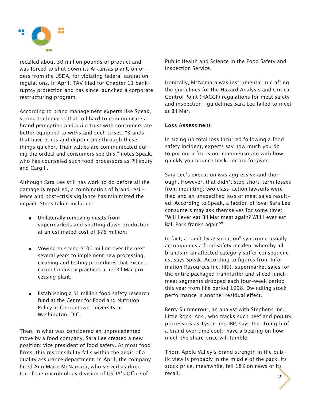

recalled about 30 million pounds of product and was forced to shut down its Arkansas plant, on orders from the USDA, for violating federal sanitation regulations. In April, TAV filed for Chapter 11 bankruptcy protection and has since launched a corporate restructuring program.

According to brand management experts like Speak, strong trademarks that toil hard to communicate a brand perception and build trust with consumers are better equipped to withstand such crises. "Brands that have ethos and depth come through these things quicker. Their values are communicated during the ordeal and consumers see this," notes Speak, who has counseled such food processors as Pillsbury and Cargill.

Although Sara Lee still has work to do before all the damage is repaired, a combination of brand resilience and post-crisis vigilance has minimized the impact. Steps taken included:

- Unilaterally removing meats from supermarkets and shutting down production at an estimated cost of \$76 million;
- Vowing to spend \$100 million over the next several years to implement new processing, cleaning and testing procedures that exceed current industry practices at its Bil Mar pro cessing plant;
- Establishing a \$1 million food safety research fund at the Center for Food and Nutrition Policy at Georgetown University in Washington, D.C.

Then, in what was considered an unprecedented move by a food company, Sara Lee created a new position: vice president of food safety. At most food firms, this responsibility falls within the aegis of a quality assurance department. In April, the company hired Ann Marie McNamara, who served as director of the microbiology division of USDA's Office of

Public Health and Science in the Food Safety and Inspection Service.

Ironically, McNamara was instrumental in crafting the guidelines for the Hazard Analysis and Critical Control Point (HACCP) regulations for meat safety and inspection—guidelines Sara Lee failed to meet at Bil Mar.

### **Loss Assessment**

In sizing up total loss incurred following a food safety incident, experts say how much you do to put out a fire is not commensurate with how quickly you bounce back...or are forgiven.

Sara Lee's execution was aggressive and thorough. However, that didn't stop short-term losses from mounting: two class-action lawsuits were filed and an unspecified loss of meat sales resulted. According to Speak, a faction of loyal Sara Lee consumers may ask themselves for some time: "Will I ever eat Bil Mar meat again? Will I ever eat Ball Park franks again?"

In fact, a "guilt by association" syndrome usually accompanies a food safety incident whereby all brands in an affected category suffer consequences, says Speak. According to figures from Information Resources Inc. (IRI), supermarket sales for the entire packaged frankfurter and sliced lunchmeat segments dropped each four-week period this year from like period 1998. Dwindling stock performance is another residual effect.

Berry Summerour, an analyst with Stephens Inc., Little Rock, Ark., who tracks such beef and poultry processors as Tyson and IBP, says the strength of a brand over time could have a bearing on how much the share price will tumble.

Thorn Apple Valley's brand strength in the public view is probably in the middle of the pack. Its stock price, meanwhile, fell 18% on news of its recall.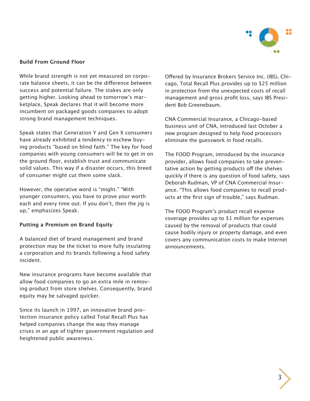

#### **Build From Ground Floor**

While brand strength is not yet measured on corporate balance sheets, it can be the difference between success and potential failure. The stakes are only getting higher. Looking ahead to tomorrow's marketplace, Speak declares that it will become more incumbent on packaged goods companies to adopt strong brand management techniques.

Speak states that Generation Y and Gen X consumers have already exhibited a tendency to eschew buying products "based on blind faith." The key for food companies with young consumers will be to get in on the ground floor, establish trust and communicate solid values. This way if a disaster occurs, this breed of consumer might cut them some slack.

However, the operative word is "might." "With younger consumers, you have to prove your worth each and every time out. If you don't, then the jig is up," emphasizes Speak.

#### **Putting a Premium on Brand Equity**

A balanced diet of brand management and brand protection may be the ticket to more fully insulating a corporation and its brands following a food safety incident.

New insurance programs have become available that allow food companies to go an extra mile in removing product from store shelves. Consequently, brand equity may be salvaged quicker.

Since its launch in 1997, an innovative brand protection insurance policy called Total Recall Plus has helped companies change the way they manage crises in an age of tighter government regulation and heightened public awareness.

Offered by Insurance Brokers Service Inc. (IBS), Chicago, Total Recall Plus provides up to \$25 million in protection from the unexpected costs of recall management and gross profit loss, says IBS President Bob Greenebaum.

CNA Commercial Insurance, a Chicago-based business unit of CNA, introduced last October a new program designed to help food processors eliminate the guesswork in food recalls.

The FOOD Program, introduced by the insurance provider, allows food companies to take preventative action by getting products off the shelves quickly if there is any question of food safety, says Deborah Rudman, VP of CNA Commercial Insurance. "This allows food companies to recall products at the first sign of trouble," says Rudman.

The FOOD Program's product recall expense coverage provides up to \$1 million for expenses caused by the removal of products that could cause bodily injury or property damage, and even covers any communication costs to make Internet announcements.